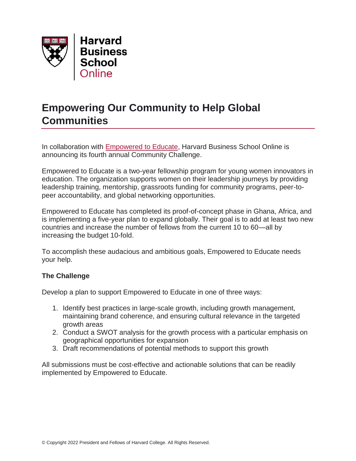

## **Empowering Our Community to Help Global Communities**

In collaboration with [Empowered to Educate,](https://www.empoweredtoeducate.org/) Harvard Business School Online is announcing its fourth annual Community Challenge.

Empowered to Educate is a two-year fellowship program for young women innovators in education. The organization supports women on their leadership journeys by providing leadership training, mentorship, grassroots funding for community programs, peer-topeer accountability, and global networking opportunities.

Empowered to Educate has completed its proof-of-concept phase in Ghana, Africa, and is implementing a five-year plan to expand globally. Their goal is to add at least two new countries and increase the number of fellows from the current 10 to 60—all by increasing the budget 10-fold.

To accomplish these audacious and ambitious goals, Empowered to Educate needs your help.

## **The Challenge**

Develop a plan to support Empowered to Educate in one of three ways:

- 1. Identify best practices in large-scale growth, including growth management, maintaining brand coherence, and ensuring cultural relevance in the targeted growth areas
- 2. Conduct a SWOT analysis for the growth process with a particular emphasis on geographical opportunities for expansion
- 3. Draft recommendations of potential methods to support this growth

All submissions must be cost-effective and actionable solutions that can be readily implemented by Empowered to Educate.